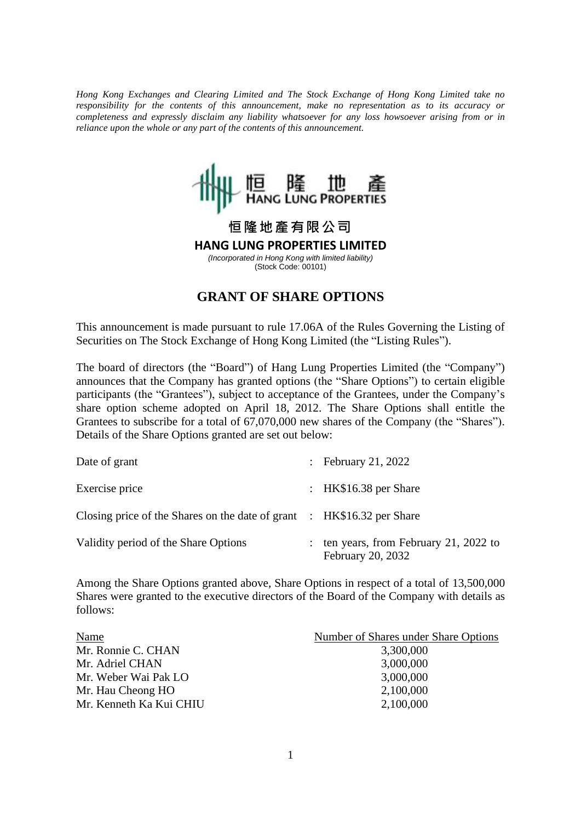*Hong Kong Exchanges and Clearing Limited and The Stock Exchange of Hong Kong Limited take no responsibility for the contents of this announcement, make no representation as to its accuracy or completeness and expressly disclaim any liability whatsoever for any loss howsoever arising from or in reliance upon the whole or any part of the contents of this announcement.*



(Stock Code: 00101)

## **GRANT OF SHARE OPTIONS**

This announcement is made pursuant to rule 17.06A of the Rules Governing the Listing of Securities on The Stock Exchange of Hong Kong Limited (the "Listing Rules").

The board of directors (the "Board") of Hang Lung Properties Limited (the "Company") announces that the Company has granted options (the "Share Options") to certain eligible participants (the "Grantees"), subject to acceptance of the Grantees, under the Company's share option scheme adopted on April 18, 2012. The Share Options shall entitle the Grantees to subscribe for a total of 67,070,000 new shares of the Company (the "Shares"). Details of the Share Options granted are set out below:

| Date of grant                                                          | : February 21, 2022                                         |
|------------------------------------------------------------------------|-------------------------------------------------------------|
| Exercise price                                                         | : $HK$16.38$ per Share                                      |
| Closing price of the Shares on the date of grant : HK\$16.32 per Share |                                                             |
| Validity period of the Share Options                                   | : ten years, from February 21, 2022 to<br>February 20, 2032 |

Among the Share Options granted above, Share Options in respect of a total of 13,500,000 Shares were granted to the executive directors of the Board of the Company with details as follows:

| Name                    | Number of Shares under Share Options |  |
|-------------------------|--------------------------------------|--|
| Mr. Ronnie C. CHAN      | 3,300,000                            |  |
| Mr. Adriel CHAN         | 3,000,000                            |  |
| Mr. Weber Wai Pak LO    | 3,000,000                            |  |
| Mr. Hau Cheong HO       | 2,100,000                            |  |
| Mr. Kenneth Ka Kui CHIU | 2,100,000                            |  |